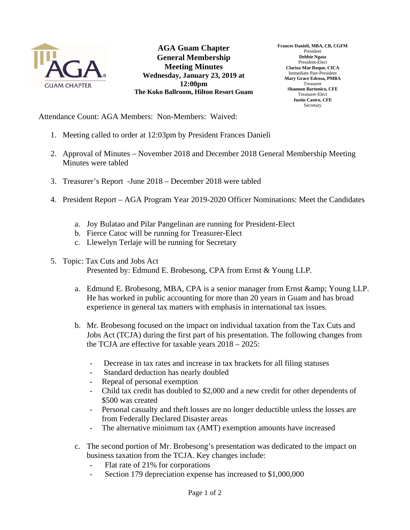

**AGA Guam Chapter General Membership Meeting Minutes Wednesday, January 23, 2019 at 12:00pm The Koko Ballroom, Hilton Resort Guam**  **Frances Danieli, MBA, CB, CGFM**  President **Debbie Ngata**  President-Elect **Clariza Mae Roque, CICA**  Immediate Past-President **Mary Grace Edrosa, PMBA**  Treasurer **Shannon Bartonico, CFE**  Treasurer-Elect **Justin Castro, CFE Secretary** 

Attendance Count: AGA Members: Non-Members: Waived:

- 1. Meeting called to order at 12:03pm by President Frances Danieli
- 2. Approval of Minutes November 2018 and December 2018 General Membership Meeting Minutes were tabled
- 3. Treasurer's Report -June 2018 December 2018 were tabled
- 4. President Report AGA Program Year 2019-2020 Officer Nominations: Meet the Candidates
	- a. Joy Bulatao and Pilar Pangelinan are running for President-Elect
	- b. Fierce Catoc will be running for Treasurer-Elect
	- c. Llewelyn Terlaje will be running for Secretary
- 5. Topic: Tax Cuts and Jobs Act

Presented by: Edmund E. Brobesong, CPA from Ernst & Young LLP.

- a. Edmund E. Brobesong, MBA, CPA is a senior manager from Ernst & amp; Young LLP. He has worked in public accounting for more than 20 years in Guam and has broad experience in general tax matters with emphasis in international tax issues.
- b. Mr. Brobesong focused on the impact on individual taxation from the Tax Cuts and Jobs Act (TCJA) during the first part of his presentation. The following changes from the TCJA are effective for taxable years 2018 – 2025:
	- Decrease in tax rates and increase in tax brackets for all filing statuses
	- Standard deduction has nearly doubled
	- Repeal of personal exemption
	- Child tax credit has doubled to \$2,000 and a new credit for other dependents of \$500 was created
	- Personal casualty and theft losses are no longer deductible unless the losses are from Federally Declared Disaster areas
	- The alternative minimum tax (AMT) exemption amounts have increased
- c. The second portion of Mr. Brobesong's presentation was dedicated to the impact on business taxation from the TCJA. Key changes include:
	- Flat rate of 21% for corporations
	- Section 179 depreciation expense has increased to \$1,000,000